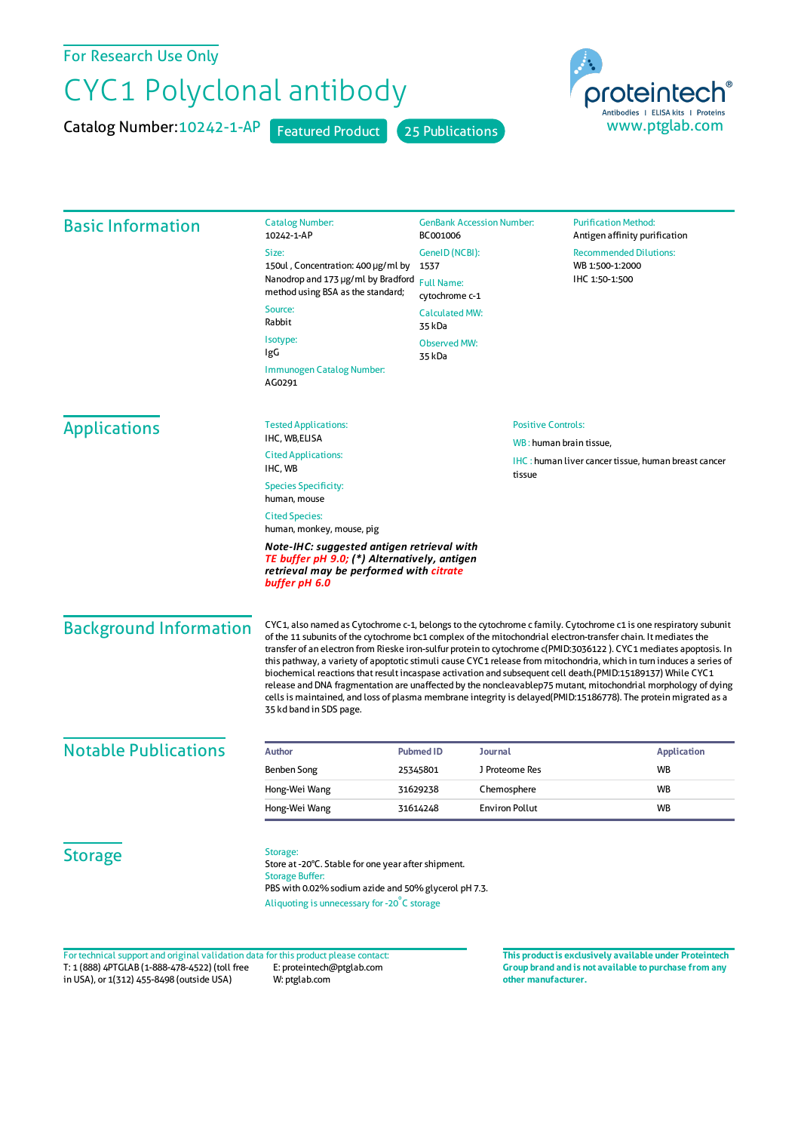For Research Use Only

## CYC1 Polyclonal antibody

Catalog Number: 10242-1-AP Featured Product 25 Publications



| <b>Basic Information</b>      | <b>Catalog Number:</b><br>10242-1-AP                                                                                                                                                                                                                                                                                                                                                                                                                                                                                                                                                                                                                                                                                                                                                                                                                            | <b>GenBank Accession Number:</b><br>BC001006 |                           | <b>Purification Method:</b><br>Antigen affinity purification |
|-------------------------------|-----------------------------------------------------------------------------------------------------------------------------------------------------------------------------------------------------------------------------------------------------------------------------------------------------------------------------------------------------------------------------------------------------------------------------------------------------------------------------------------------------------------------------------------------------------------------------------------------------------------------------------------------------------------------------------------------------------------------------------------------------------------------------------------------------------------------------------------------------------------|----------------------------------------------|---------------------------|--------------------------------------------------------------|
|                               | Size:                                                                                                                                                                                                                                                                                                                                                                                                                                                                                                                                                                                                                                                                                                                                                                                                                                                           | GenelD (NCBI):                               |                           | <b>Recommended Dilutions:</b>                                |
|                               | 150ul, Concentration: 400 µg/ml by<br>Nanodrop and 173 µg/ml by Bradford                                                                                                                                                                                                                                                                                                                                                                                                                                                                                                                                                                                                                                                                                                                                                                                        | 1537                                         |                           | WB 1:500-1:2000<br>IHC 1:50-1:500                            |
|                               | method using BSA as the standard;                                                                                                                                                                                                                                                                                                                                                                                                                                                                                                                                                                                                                                                                                                                                                                                                                               | <b>Full Name:</b><br>cytochrome c-1          |                           |                                                              |
|                               | Source:<br>Rabbit                                                                                                                                                                                                                                                                                                                                                                                                                                                                                                                                                                                                                                                                                                                                                                                                                                               | <b>Calculated MW:</b><br>35 kDa              |                           |                                                              |
|                               | Isotype:<br>IgG                                                                                                                                                                                                                                                                                                                                                                                                                                                                                                                                                                                                                                                                                                                                                                                                                                                 | <b>Observed MW:</b><br>35 kDa                |                           |                                                              |
|                               | Immunogen Catalog Number:<br>AG0291                                                                                                                                                                                                                                                                                                                                                                                                                                                                                                                                                                                                                                                                                                                                                                                                                             |                                              |                           |                                                              |
| <b>Applications</b>           | <b>Tested Applications:</b>                                                                                                                                                                                                                                                                                                                                                                                                                                                                                                                                                                                                                                                                                                                                                                                                                                     |                                              | <b>Positive Controls:</b> |                                                              |
|                               | IHC, WB,ELISA                                                                                                                                                                                                                                                                                                                                                                                                                                                                                                                                                                                                                                                                                                                                                                                                                                                   |                                              | WB: human brain tissue,   |                                                              |
|                               | <b>Cited Applications:</b><br>IHC, WB                                                                                                                                                                                                                                                                                                                                                                                                                                                                                                                                                                                                                                                                                                                                                                                                                           |                                              | tissue                    | <b>IHC</b> : human liver cancer tissue, human breast cancer  |
|                               | <b>Species Specificity:</b><br>human, mouse                                                                                                                                                                                                                                                                                                                                                                                                                                                                                                                                                                                                                                                                                                                                                                                                                     |                                              |                           |                                                              |
|                               | <b>Cited Species:</b><br>human, monkey, mouse, pig                                                                                                                                                                                                                                                                                                                                                                                                                                                                                                                                                                                                                                                                                                                                                                                                              |                                              |                           |                                                              |
|                               | Note-IHC: suggested antigen retrieval with<br>TE buffer pH 9.0; (*) Alternatively, antigen<br>retrieval may be performed with citrate<br>buffer pH 6.0                                                                                                                                                                                                                                                                                                                                                                                                                                                                                                                                                                                                                                                                                                          |                                              |                           |                                                              |
| <b>Background Information</b> | CYC1, also named as Cytochrome c-1, belongs to the cytochrome c family. Cytochrome c1 is one respiratory subunit<br>of the 11 subunits of the cytochrome bc1 complex of the mitochondrial electron-transfer chain. It mediates the<br>transfer of an electron from Rieske iron-sulfur protein to cytochrome c(PMID:3036122 ). CYC1 mediates apoptosis. In<br>this pathway, a variety of apoptotic stimuli cause CYC1 release from mitochondria, which in turn induces a series of<br>biochemical reactions that result incaspase activation and subsequent cell death.(PMID:15189137) While CYC1<br>release and DNA fragmentation are unaffected by the noncleavablep75 mutant, mitochondrial morphology of dying<br>cells is maintained, and loss of plasma membrane integrity is delayed(PMID:15186778). The protein migrated as a<br>35 kd band in SDS page. |                                              |                           |                                                              |
| <b>Notable Publications</b>   |                                                                                                                                                                                                                                                                                                                                                                                                                                                                                                                                                                                                                                                                                                                                                                                                                                                                 |                                              |                           |                                                              |
|                               | <b>Author</b>                                                                                                                                                                                                                                                                                                                                                                                                                                                                                                                                                                                                                                                                                                                                                                                                                                                   | <b>Pubmed ID</b><br>Journal<br>25345801      | J Proteome Res            | <b>Application</b><br>WB                                     |
|                               | Benben Song<br>Hong-Wei Wang                                                                                                                                                                                                                                                                                                                                                                                                                                                                                                                                                                                                                                                                                                                                                                                                                                    | 31629238                                     | Chemosphere               | WB                                                           |
|                               | Hong-Wei Wang                                                                                                                                                                                                                                                                                                                                                                                                                                                                                                                                                                                                                                                                                                                                                                                                                                                   | 31614248                                     | <b>Environ Pollut</b>     | <b>WB</b>                                                    |
|                               |                                                                                                                                                                                                                                                                                                                                                                                                                                                                                                                                                                                                                                                                                                                                                                                                                                                                 |                                              |                           |                                                              |
|                               |                                                                                                                                                                                                                                                                                                                                                                                                                                                                                                                                                                                                                                                                                                                                                                                                                                                                 |                                              |                           |                                                              |

T: 1 (888) 4PTGLAB (1-888-478-4522) (toll free E: proteintech@ptglab.com in USA), or 1(312) 455-8498 (outside USA) W: ptglab.com Fortechnical support and original validation data forthis product please contact: **This productis exclusively available under Proteintech**

**Group brand and is not available to purchase from any other manufacturer.**